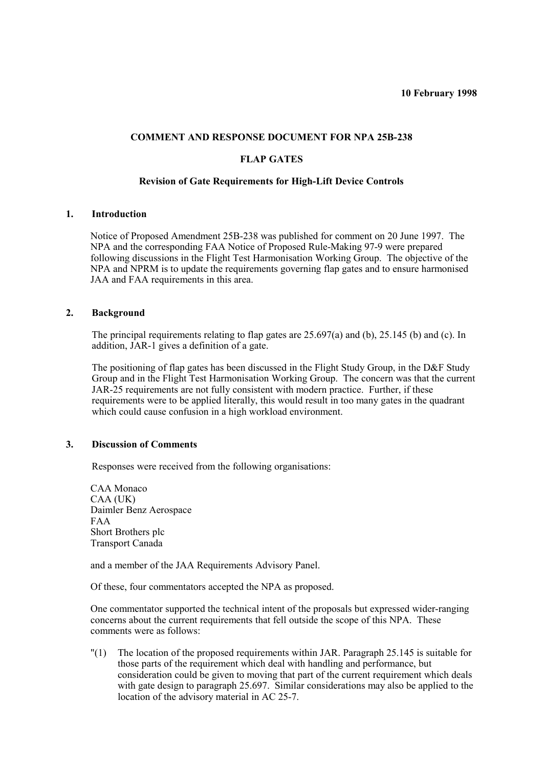## **COMMENT AND RESPONSE DOCUMENT FOR NPA 25B-238**

# **FLAP GATES**

## **Revision of Gate Requirements for High-Lift Device Controls**

## **1. Introduction**

Notice of Proposed Amendment 25B-238 was published for comment on 20 June 1997. The NPA and the corresponding FAA Notice of Proposed Rule-Making 97-9 were prepared following discussions in the Flight Test Harmonisation Working Group. The objective of the NPA and NPRM is to update the requirements governing flap gates and to ensure harmonised JAA and FAA requirements in this area.

## **2. Background**

The principal requirements relating to flap gates are 25.697(a) and (b), 25.145 (b) and (c). In addition, JAR-1 gives a definition of a gate.

The positioning of flap gates has been discussed in the Flight Study Group, in the D&F Study Group and in the Flight Test Harmonisation Working Group. The concern was that the current JAR-25 requirements are not fully consistent with modern practice. Further, if these requirements were to be applied literally, this would result in too many gates in the quadrant which could cause confusion in a high workload environment.

## **3. Discussion of Comments**

Responses were received from the following organisations:

CAA Monaco CAA (UK) Daimler Benz Aerospace FAA Short Brothers plc Transport Canada

and a member of the JAA Requirements Advisory Panel.

Of these, four commentators accepted the NPA as proposed.

One commentator supported the technical intent of the proposals but expressed wider-ranging concerns about the current requirements that fell outside the scope of this NPA. These comments were as follows:

"(1) The location of the proposed requirements within JAR. Paragraph 25.145 is suitable for those parts of the requirement which deal with handling and performance, but consideration could be given to moving that part of the current requirement which deals with gate design to paragraph 25.697. Similar considerations may also be applied to the location of the advisory material in AC 25-7.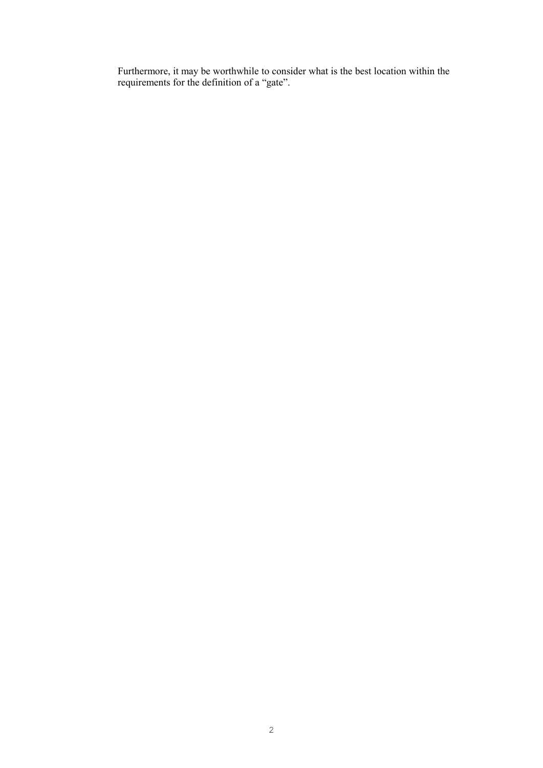Furthermore, it may be worthwhile to consider what is the best location within the requirements for the definition of a "gate".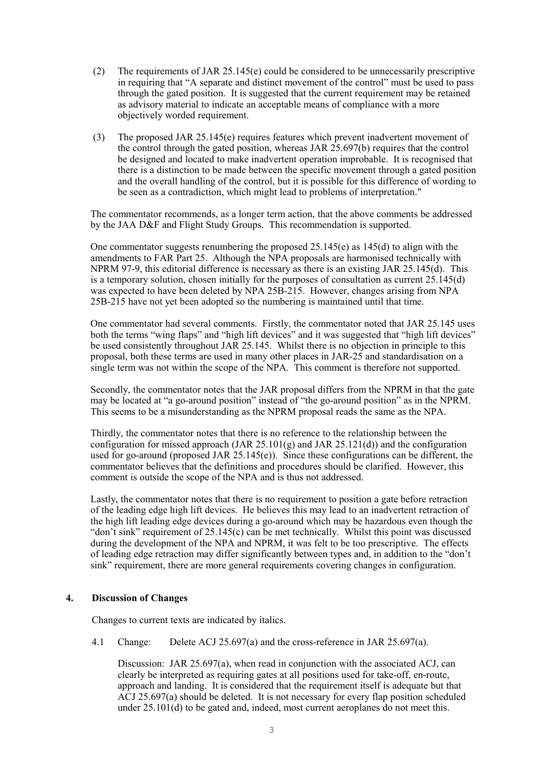- (2) The requirements of JAR 25.145(e) could be considered to be unnecessarily prescriptive in requiring that "A separate and distinct movement of the control" must be used to pass through the gated position. It is suggested that the current requirement may be retained as advisory material to indicate an acceptable means of compliance with a more objectively worded requirement.
- (3) The proposed JAR 25.145(e) requires features which prevent inadvertent movement of the control through the gated position, whereas JAR 25.697(b) requires that the control be designed and located to make inadvertent operation improbable. It is recognised that there is a distinction to be made between the specific movement through a gated position and the overall handling of the control, but it is possible for this difference of wording to be seen as a contradiction, which might lead to problems of interpretation."

The commentator recommends, as a longer term action, that the above comments be addressed by the JAA D&F and Flight Study Groups. This recommendation is supported.

One commentator suggests renumbering the proposed 25.145(e) as 145(d) to align with the amendments to FAR Part 25. Although the NPA proposals are harmonised technically with NPRM 97-9, this editorial difference is necessary as there is an existing JAR 25.145(d). This is a temporary solution, chosen initially for the purposes of consultation as current 25.145(d) was expected to have been deleted by NPA 25B-215. However, changes arising from NPA 25B-215 have not yet been adopted so the numbering is maintained until that time.

One commentator had several comments. Firstly, the commentator noted that JAR 25.145 uses both the terms "wing flaps" and "high lift devices" and it was suggested that "high lift devices" be used consistently throughout JAR 25.145. Whilst there is no objection in principle to this proposal, both these terms are used in many other places in JAR-25 and standardisation on a single term was not within the scope of the NPA. This comment is therefore not supported.

Secondly, the commentator notes that the JAR proposal differs from the NPRM in that the gate may be located at "a go-around position" instead of "the go-around position" as in the NPRM. This seems to be a misunderstanding as the NPRM proposal reads the same as the NPA.

Thirdly, the commentator notes that there is no reference to the relationship between the configuration for missed approach (JAR 25.101(g) and JAR 25.121(d)) and the configuration used for go-around (proposed JAR  $25.145(e)$ ). Since these configurations can be different, the commentator believes that the definitions and procedures should be clarified. However, this comment is outside the scope of the NPA and is thus not addressed.

Lastly, the commentator notes that there is no requirement to position a gate before retraction of the leading edge high lift devices. He believes this may lead to an inadvertent retraction of the high lift leading edge devices during a go-around which may be hazardous even though the "don't sink" requirement of 25.145(c) can be met technically. Whilst this point was discussed during the development of the NPA and NPRM, it was felt to be too prescriptive. The effects of leading edge retraction may differ significantly between types and, in addition to the "don't sink" requirement, there are more general requirements covering changes in configuration.

# **4. Discussion of Changes**

Changes to current texts are indicated by italics.

4.1 Change: Delete ACJ 25.697(a) and the cross-reference in JAR 25.697(a).

Discussion: JAR 25.697(a), when read in conjunction with the associated ACJ, can clearly be interpreted as requiring gates at all positions used for take-off, en-route, approach and landing. It is considered that the requirement itself is adequate but that ACJ 25.697(a) should be deleted. It is not necessary for every flap position scheduled under 25.101(d) to be gated and, indeed, most current aeroplanes do not meet this.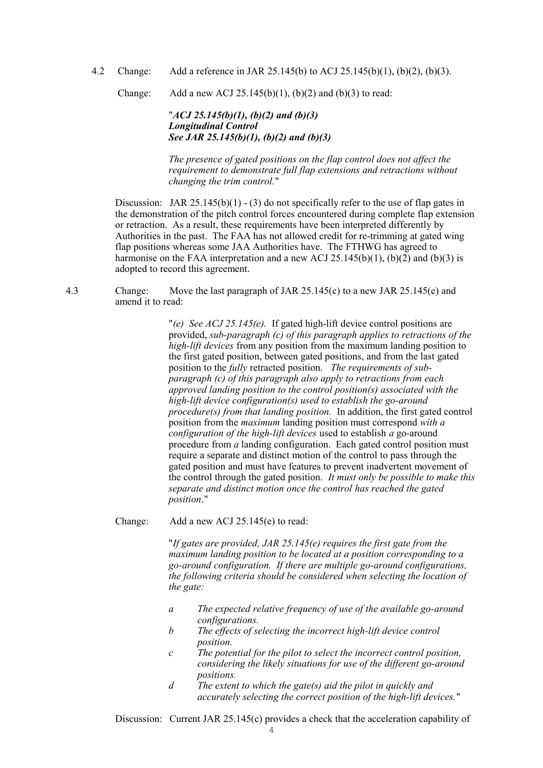4.2 Change: Add a reference in JAR 25.145(b) to ACJ 25.145(b)(1), (b)(2), (b)(3).

Change: Add a new ACJ 25.145(b)(1), (b)(2) and (b)(3) to read:

"*ACJ 25.145(b)(1), (b)(2) and (b)(3) Longitudinal Control See JAR 25.145(b)(1), (b)(2) and (b)(3)*

*The presence of gated positions on the flap control does not affect the requirement to demonstrate full flap extensions and retractions without changing the trim control.*"

Discussion: JAR 25.145(b)(1) - (3) do not specifically refer to the use of flap gates in the demonstration of the pitch control forces encountered during complete flap extension or retraction. As a result, these requirements have been interpreted differently by Authorities in the past. The FAA has not allowed credit for re-trimming at gated wing flap positions whereas some JAA Authorities have. The FTHWG has agreed to harmonise on the FAA interpretation and a new ACJ  $25.145(b)(1)$ ,  $(b)(2)$  and  $(b)(3)$  is adopted to record this agreement.

4.3 Change: Move the last paragraph of JAR 25.145(c) to a new JAR 25.145(e) and amend it to read:

> "*(e) See ACJ 25.145(e).* If gated high-lift device control positions are provided, *sub-paragraph (c) of this paragraph applies to retractions of the high-lift devices* from any position from the maximum landing position to the first gated position, between gated positions, and from the last gated position to the *fully* retracted position. *The requirements of subparagraph (c) of this paragraph also apply to retractions from each approved landing position to the control position(s) associated with the high-lift device configuration(s) used to establish the go-around procedure(s) from that landing position.* In addition, the first gated control position from the *maximum* landing position must correspond *with a configuration of the high-lift devices* used to establish *a* go-around procedure from *a* landing configuration. Each gated control position must require a separate and distinct motion of the control to pass through the gated position and must have features to prevent inadvertent movement of the control through the gated position*. It must only be possible to make this separate and distinct motion once the control has reached the gated position*."

Change: Add a new ACJ 25.145(e) to read:

"*If gates are provided, JAR 25.145(e) requires the first gate from the maximum landing position to be located at a position corresponding to a go-around configuration. If there are multiple go-around configurations, the following criteria should be considered when selecting the location of the gate:*

- *a The expected relative frequency of use of the available go-around configurations.*
- *b The effects of selecting the incorrect high-lift device control position.*
- *c The potential for the pilot to select the incorrect control position, considering the likely situations for use of the different go-around positions.*
- *d The extent to which the gate(s) aid the pilot in quickly and accurately selecting the correct position of the high-lift devices.*"

Discussion: Current JAR 25.145(c) provides a check that the acceleration capability of